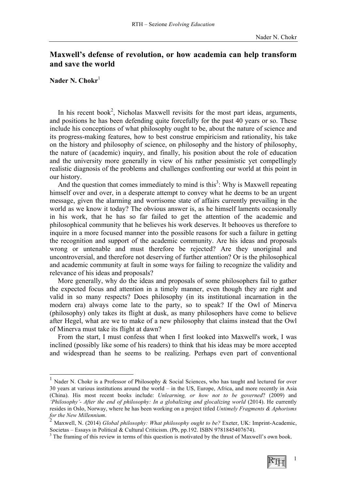## **Maxwell's defense of revolution, or how academia can help transform and save the world**

## **Nader N. Chokr**<sup>1</sup>

In his recent book<sup>2</sup>, Nicholas Maxwell revisits for the most part ideas, arguments, and positions he has been defending quite forcefully for the past 40 years or so. These include his conceptions of what philosophy ought to be, about the nature of science and its progress-making features, how to best construe empiricism and rationality, his take on the history and philosophy of science, on philosophy and the history of philosophy, the nature of (academic) inquiry, and finally, his position about the role of education and the university more generally in view of his rather pessimistic yet compellingly realistic diagnosis of the problems and challenges confronting our world at this point in our history.

And the question that comes immediately to mind is this<sup>3</sup>: Why is Maxwell repeating himself over and over, in a desperate attempt to convey what he deems to be an urgent message, given the alarming and worrisome state of affairs currently prevailing in the world as we know it today? The obvious answer is, as he himself laments occasionally in his work, that he has so far failed to get the attention of the academic and philosophical community that he believes his work deserves. It behooves us therefore to inquire in a more focused manner into the possible reasons for such a failure in getting the recognition and support of the academic community. Are his ideas and proposals wrong or untenable and must therefore be rejected? Are they unoriginal and uncontroversial, and therefore not deserving of further attention? Or is the philosophical and academic community at fault in some ways for failing to recognize the validity and relevance of his ideas and proposals?

More generally, why do the ideas and proposals of some philosophers fail to gather the expected focus and attention in a timely manner, even though they are right and valid in so many respects? Does philosophy (in its institutional incarnation in the modern era) always come late to the party, so to speak? If the Owl of Minerva (philosophy) only takes its flight at dusk, as many philosophers have come to believe after Hegel, what are we to make of a new philosophy that claims instead that the Owl of Minerva must take its flight at dawn?

From the start, I must confess that when I first looked into Maxwell's work, I was inclined (possibly like some of his readers) to think that his ideas may be more accepted and widespread than he seems to be realizing. Perhaps even part of conventional



<sup>&</sup>lt;sup>1</sup> Nader N. Chokr is a Professor of Philosophy & Social Sciences, who has taught and lectured for over 30 years at various institutions around the world – in the US, Europe, Africa, and more recently in Asia (China). His most recent books include: *Unlearning, or how not to be governed*? (2009) and *'Philosophy'- After the end of philosophy: In a globalizing and glocalizing world* (2014). He currently resides in Oslo, Norway, where he has been working on a project titled *Untimely Fragments & Aphorisms* 

*for the New Millennium*. <sup>2</sup> Maxwell, N. (2014) *Global philosophy: What philosophy ought to be?* Exeter, UK: Imprint-Academic, Societas – Essays in Political & Cultural Criticism. (Pb, pp.192. ISBN 9781845407674).<br><sup>3</sup> The framing of this review in terms of this question is motivated by the thrust of Maxwell's own book.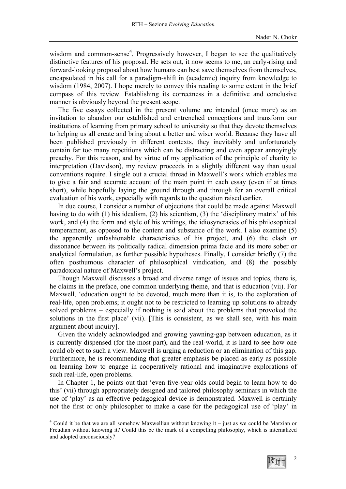wisdom and common-sense<sup>4</sup>. Progressively however, I began to see the qualitatively distinctive features of his proposal. He sets out, it now seems to me, an early-rising and forward-looking proposal about how humans can best save themselves from themselves, encapsulated in his call for a paradigm-shift in (academic) inquiry from knowledge to wisdom (1984, 2007). I hope merely to convey this reading to some extent in the brief compass of this review. Establishing its correctness in a definitive and conclusive manner is obviously beyond the present scope.

The five essays collected in the present volume are intended (once more) as an invitation to abandon our established and entrenched conceptions and transform our institutions of learning from primary school to university so that they devote themselves to helping us all create and bring about a better and wiser world. Because they have all been published previously in different contexts, they inevitably and unfortunately contain far too many repetitions which can be distracting and even appear annoyingly preachy. For this reason, and by virtue of my application of the principle of charity to interpretation (Davidson), my review proceeds in a slightly different way than usual conventions require. I single out a crucial thread in Maxwell's work which enables me to give a fair and accurate account of the main point in each essay (even if at times short), while hopefully laying the ground through and through for an overall critical evaluation of his work, especially with regards to the question raised earlier.

In due course, I consider a number of objections that could be made against Maxwell having to do with (1) his idealism, (2) his scientism, (3) the 'disciplinary matrix' of his work, and (4) the form and style of his writings, the idiosyncrasies of his philosophical temperament, as opposed to the content and substance of the work. I also examine (5) the apparently unfashionable characteristics of his project, and (6) the clash or dissonance between its politically radical dimension prima facie and its more sober or analytical formulation, as further possible hypotheses. Finally, I consider briefly (7) the often posthumous character of philosophical vindication, and (8) the possibly paradoxical nature of Maxwell's project.

Though Maxwell discusses a broad and diverse range of issues and topics, there is, he claims in the preface, one common underlying theme, and that is education (vii). For Maxwell, 'education ought to be devoted, much more than it is, to the exploration of real-life, open problems; it ought not to be restricted to learning up solutions to already solved problems – especially if nothing is said about the problems that provoked the solutions in the first place' (vii). [This is consistent, as we shall see, with his main argument about inquiry].

Given the widely acknowledged and growing yawning-gap between education, as it is currently dispensed (for the most part), and the real-world, it is hard to see how one could object to such a view. Maxwell is urging a reduction or an elimination of this gap. Furthermore, he is recommending that greater emphasis be placed as early as possible on learning how to engage in cooperatively rational and imaginative explorations of such real-life, open problems.

In Chapter 1, he points out that 'even five-year olds could begin to learn how to do this' (vii) through appropriately designed and tailored philosophy seminars in which the use of 'play' as an effective pedagogical device is demonstrated. Maxwell is certainly not the first or only philosopher to make a case for the pedagogical use of 'play' in

 <sup>4</sup> Could it be that we are all somehow Maxwellian without knowing it – just as we could be Marxian or Freudian without knowing it? Could this be the mark of a compelling philosophy, which is internalized and adopted unconsciously?

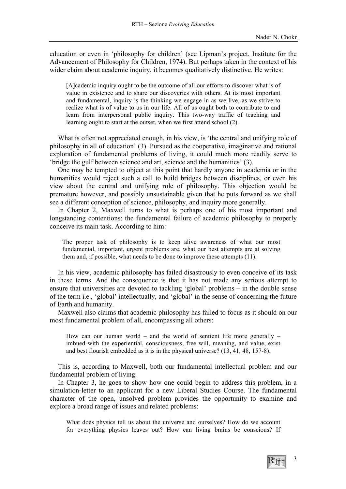education or even in 'philosophy for children' (see Lipman's project, Institute for the Advancement of Philosophy for Children, 1974). But perhaps taken in the context of his wider claim about academic inquiry, it becomes qualitatively distinctive. He writes:

[A]cademic inquiry ought to be the outcome of all our efforts to discover what is of value in existence and to share our discoveries with others. At its most important and fundamental, inquiry is the thinking we engage in as we live, as we strive to realize what is of value to us in our life. All of us ought both to contribute to and learn from interpersonal public inquiry. This two-way traffic of teaching and learning ought to start at the outset, when we first attend school (2).

What is often not appreciated enough, in his view, is 'the central and unifying role of philosophy in all of education' (3). Pursued as the cooperative, imaginative and rational exploration of fundamental problems of living, it could much more readily serve to 'bridge the gulf between science and art, science and the humanities' (3).

One may be tempted to object at this point that hardly anyone in academia or in the humanities would reject such a call to build bridges between disciplines, or even his view about the central and unifying role of philosophy. This objection would be premature however, and possibly unsustainable given that he puts forward as we shall see a different conception of science, philosophy, and inquiry more generally.

In Chapter 2, Maxwell turns to what is perhaps one of his most important and longstanding contentions: the fundamental failure of academic philosophy to properly conceive its main task. According to him:

The proper task of philosophy is to keep alive awareness of what our most fundamental, important, urgent problems are, what our best attempts are at solving them and, if possible, what needs to be done to improve these attempts (11).

In his view, academic philosophy has failed disastrously to even conceive of its task in these terms. And the consequence is that it has not made any serious attempt to ensure that universities are devoted to tackling 'global' problems – in the double sense of the term i.e., 'global' intellectually, and 'global' in the sense of concerning the future of Earth and humanity.

Maxwell also claims that academic philosophy has failed to focus as it should on our most fundamental problem of all, encompassing all others:

How can our human world – and the world of sentient life more generally – imbued with the experiential, consciousness, free will, meaning, and value, exist and best flourish embedded as it is in the physical universe? (13, 41, 48, 157-8).

This is, according to Maxwell, both our fundamental intellectual problem and our fundamental problem of living.

In Chapter 3, he goes to show how one could begin to address this problem, in a simulation-letter to an applicant for a new Liberal Studies Course. The fundamental character of the open, unsolved problem provides the opportunity to examine and explore a broad range of issues and related problems:

What does physics tell us about the universe and ourselves? How do we account for everything physics leaves out? How can living brains be conscious? If

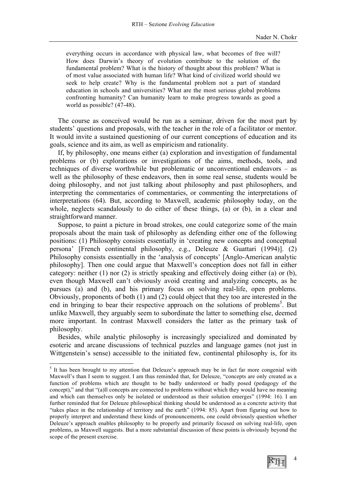everything occurs in accordance with physical law, what becomes of free will? How does Darwin's theory of evolution contribute to the solution of the fundamental problem? What is the history of thought about this problem? What is of most value associated with human life? What kind of civilized world should we seek to help create? Why is the fundamental problem not a part of standard education in schools and universities? What are the most serious global problems confronting humanity? Can humanity learn to make progress towards as good a world as possible? (47-48).

The course as conceived would be run as a seminar, driven for the most part by students' questions and proposals, with the teacher in the role of a facilitator or mentor. It would invite a sustained questioning of our current conceptions of education and its goals, science and its aim, as well as empiricism and rationality.

If, by philosophy, one means either (a) exploration and investigation of fundamental problems or (b) explorations or investigations of the aims, methods, tools, and techniques of diverse worthwhile but problematic or unconventional endeavors – as well as the philosophy of these endeavors, then in some real sense, students would be doing philosophy, and not just talking about philosophy and past philosophers, and interpreting the commentaries of commentaries, or commenting the interpretations of interpretations (64). But, according to Maxwell, academic philosophy today, on the whole, neglects scandalously to do either of these things, (a) or (b), in a clear and straightforward manner.

Suppose, to paint a picture in broad strokes, one could categorize some of the main proposals about the main task of philosophy as defending either one of the following positions: (1) Philosophy consists essentially in 'creating new concepts and conceptual persona' [French continental philosophy, e.g., Deleuze & Guattari (1994)]. (2) Philosophy consists essentially in the 'analysis of concepts' [Anglo-American analytic philosophy]. Then one could argue that Maxwell's conception does not fall in either category: neither (1) nor (2) is strictly speaking and effectively doing either (a) or (b), even though Maxwell can't obviously avoid creating and analyzing concepts, as he pursues (a) and (b), and his primary focus on solving real-life, open problems. Obviously, proponents of both (1) and (2) could object that they too are interested in the end in bringing to bear their respective approach on the solutions of problems<sup>5</sup>. But unlike Maxwell, they arguably seem to subordinate the latter to something else, deemed more important. In contrast Maxwell considers the latter as the primary task of philosophy.

Besides, while analytic philosophy is increasingly specialized and dominated by esoteric and arcane discussions of technical puzzles and language games (not just in Wittgenstein's sense) accessible to the initiated few, continental philosophy is, for its

<sup>&</sup>lt;sup>5</sup> It has been brought to my attention that Deleuze's approach may be in fact far more congenial with Maxwell's than I seem to suggest. I am thus reminded that, for Deleuze, "concepts are only created as a function of problems which are thought to be badly understood or badly posed (pedagogy of the concept)," and that "(a)ll concepts are connected to problems without which they would have no meaning and which can themselves only be isolated or understood as their solution emerges" (1994: 16). I am further reminded that for Deleuze philosophical thinking should be understood as a concrete activity that "takes place in the relationship of territory and the earth" (1994: 85). Apart from figuring out how to properly interpret and understand these kinds of pronouncements, one could obviously question whether Deleuze's approach enables philosophy to be properly and primarily focused on solving real-life, open problems, as Maxwell suggests. But a more substantial discussion of these points is obviously beyond the scope of the present exercise.

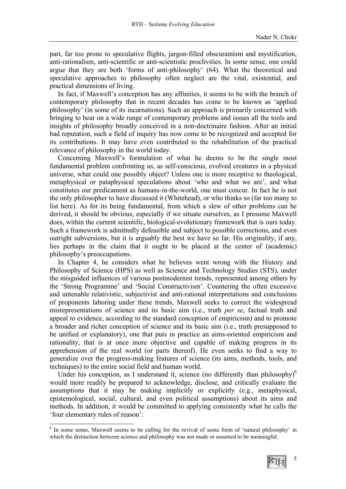part, far too prone to speculative flights, jargon-filled obscurantism and mystification, anti-rationalism, anti-scientific or anti-scientistic proclivities. In some sense, one could argue that they are both 'forms of anti-philosophy' (64). What the theoretical and speculative approaches to philosophy often neglect are the vital, existential, and practical dimensions of living.

In fact, if Maxwell's conception has any affinities, it seems to be with the branch of contemporary philosophy that in recent decades has come to be known as 'applied philosophy' (in some of its incarnations). Such an approach is primarily concerned with bringing to bear on a wide range of contemporary problems and issues all the tools and insights of philosophy broadly conceived in a non-doctrinaire fashion. After an initial bad reputation, such a field of inquiry has now come to be recognized and accepted for its contributions. It may have even contributed to the rehabilitation of the practical relevance of philosophy in the world today.

Concerning Maxwell's formulation of what he deems to be the single most fundamental problem confronting us, as self-conscious, evolved creatures in a physical universe, what could one possibly object? Unless one is more receptive to theological, metaphysical or pataphysical speculations about 'who and what we are', and what constitutes our predicament as humans-in-the-world, one must concur. In fact he is not the only philosopher to have discussed it (Whitehead), or who thinks so (far too many to list here). As for its being fundamental, from which a slew of other problems can be derived, it should be obvious, especially if we situate ourselves, as I presume Maxwell does, within the current scientific, biological-evolutionary framework that is ours today. Such a framework is admittedly defeasible and subject to possible corrections, and even outright subversions, but it is arguably the best we have so far. His originality, if any, lies perhaps in the claim that it ought to be placed at the center of (academic) philosophy's preoccupations.

In Chapter 4, he considers what he believes went wrong with the History and Philosophy of Science (HPS) as well as Science and Technology Studies (STS), under the misguided influences of various postmodernist trends, represented among others by the 'Strong Programme' and 'Social Constructivism'. Countering the often excessive and untenable relativistic, subjectivist and anti-rational interpretations and conclusions of proponents laboring under these trends, Maxwell seeks to correct the widespread misrepresentations of science and its basic aim (i.e., truth *per se*, factual truth and appeal to evidence, according to the standard conception of empiricism) and to promote a broader and richer conception of science and its basic aim (i.e., truth presupposed to be unified or explanatory), one that puts in practice an aims-oriented empiricism and rationality, that is at once more objective and capable of making progress in its apprehension of the real world (or parts thereof). He even seeks to find a way to generalize over the progress-making features of science (its aims, methods, tools, and techniques) to the entire social field and human world.

Under his conception, as I understand it, science (no differently than philosophy)<sup>6</sup> would more readily be prepared to acknowledge, disclose, and critically evaluate the assumptions that it may be making implicitly or explicitly (e.g., metaphysical, epistemological, social, cultural, and even political assumptions) about its aims and methods. In addition, it would be committed to applying consistently what he calls the 'four elementary rules of reason':

 $6$  In some sense, Maxwell seems to be calling for the revival of some form of 'natural philosophy' in which the distinction between science and philosophy was not made or assumed to be meaningful.

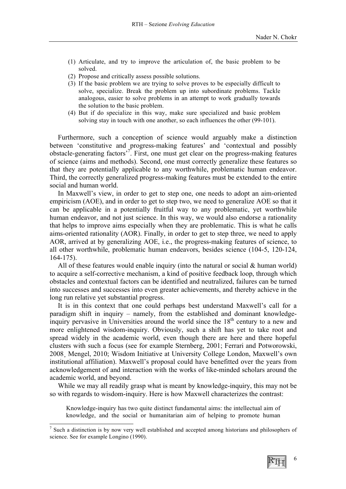- (1) Articulate, and try to improve the articulation of, the basic problem to be solved.
- (2) Propose and critically assess possible solutions.
- (3) If the basic problem we are trying to solve proves to be especially difficult to solve, specialize. Break the problem up into subordinate problems. Tackle analogous, easier to solve problems in an attempt to work gradually towards the solution to the basic problem.
- (4) But if do specialize in this way, make sure specialized and basic problem solving stay in touch with one another, so each influences the other (99-101).

Furthermore, such a conception of science would arguably make a distinction between 'constitutive and progress-making features' and 'contextual and possibly obstacle-generating factors<sup>7</sup>. First, one must get clear on the progress-making features of science (aims and methods). Second, one must correctly generalize these features so that they are potentially applicable to any worthwhile, problematic human endeavor. Third, the correctly generalized progress-making features must be extended to the entire social and human world.

In Maxwell's view, in order to get to step one, one needs to adopt an aim-oriented empiricism (AOE), and in order to get to step two, we need to generalize AOE so that it can be applicable in a potentially fruitful way to any problematic, yet worthwhile human endeavor, and not just science. In this way, we would also endorse a rationality that helps to improve aims especially when they are problematic. This is what he calls aims-oriented rationality (AOR). Finally, in order to get to step three, we need to apply AOR, arrived at by generalizing AOE, i.e., the progress-making features of science, to all other worthwhile, problematic human endeavors, besides science (104-5, 120-124, 164-175).

All of these features would enable inquiry (into the natural or social  $\&$  human world) to acquire a self-corrective mechanism, a kind of positive feedback loop, through which obstacles and contextual factors can be identified and neutralized, failures can be turned into successes and successes into even greater achievements, and thereby achieve in the long run relative yet substantial progress.

It is in this context that one could perhaps best understand Maxwell's call for a paradigm shift in inquiry – namely, from the established and dominant knowledgeinquiry pervasive in Universities around the world since the  $18<sup>th</sup>$  century to a new and more enlightened wisdom-inquiry. Obviously, such a shift has yet to take root and spread widely in the academic world, even though there are here and there hopeful clusters with such a focus (see for example Sternberg, 2001; Ferrari and Potworowski, 2008¸ Mengel, 2010; Wisdom Initiative at University College London, Maxwell's own institutional affiliation). Maxwell's proposal could have benefitted over the years from acknowledgement of and interaction with the works of like-minded scholars around the academic world, and beyond.

While we may all readily grasp what is meant by knowledge-inquiry, this may not be so with regards to wisdom-inquiry. Here is how Maxwell characterizes the contrast:

Knowledge-inquiry has two quite distinct fundamental aims: the intellectual aim of knowledge, and the social or humanitarian aim of helping to promote human

<sup>&</sup>lt;sup>7</sup> Such a distinction is by now very well established and accepted among historians and philosophers of science. See for example Longino (1990).

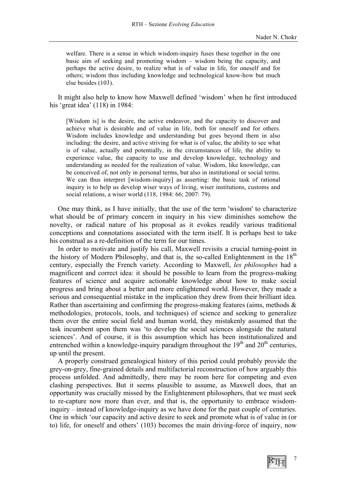welfare. There is a sense in which wisdom-inquiry fuses these together in the one basic aim of seeking and promoting wisdom – wisdom being the capacity, and perhaps the active desire, to realize what is of value in life, for oneself and for others; wisdom thus including knowledge and technological know-how but much else besides (103).

It might also help to know how Maxwell defined 'wisdom' when he first introduced his 'great idea' (118) in 1984:

[Wisdom is] is the desire, the active endeavor, and the capacity to discover and achieve what is desirable and of value in life, both for oneself and for others. Wisdom includes knowledge and understanding but goes beyond them in also including: the desire, and active striving for what is of value, the ability to see what is of value, actually and potentially, in the circumstances of life, the ability to experience value, the capacity to use and develop knowledge, technology and understanding as needed for the realization of value. Wisdom, like knowledge, can be conceived of, not only in personal terms, but also in institutional or social terms. We can thus interpret [wisdom-inquiry] as asserting: the basic task of rational inquiry is to help us develop wiser ways of living, wiser institutions, customs and social relations, a wiser world (118, 1984: 66; 2007: 79).

One may think, as I have initially, that the use of the term 'wisdom' to characterize what should be of primary concern in inquiry in his view diminishes somehow the novelty, or radical nature of his proposal as it evokes readily various traditional conceptions and connotations associated with the term itself. It is perhaps best to take his construal as a re-definition of the term for our times.

In order to motivate and justify his call, Maxwell revisits a crucial turning-point in the history of Modern Philosophy, and that is, the so-called Enlightenment in the  $18<sup>th</sup>$ century, especially the French variety. According to Maxwell, *les philosophes* had a magnificent and correct idea: it should be possible to learn from the progress-making features of science and acquire actionable knowledge about how to make social progress and bring about a better and more enlightened world. However, they made a serious and consequential mistake in the implication they drew from their brilliant idea. Rather than ascertaining and confirming the progress-making features (aims, methods  $\&$ methodologies, protocols, tools, and techniques) of science and seeking to generalize them over the entire social field and human world, they mistakenly assumed that the task incumbent upon them was 'to develop the social sciences alongside the natural sciences'. And of course, it is this assumption which has been institutionalized and entrenched within a knowledge-inquiry paradigm throughout the  $19<sup>th</sup>$  and  $20<sup>th</sup>$  centuries, up until the present.

A properly construed genealogical history of this period could probably provide the grey-on-grey, fine-grained details and multifactorial reconstruction of how arguably this process unfolded. And admittedly, there may be room here for competing and even clashing perspectives. But it seems plausible to assume, as Maxwell does, that an opportunity was crucially missed by the Enlightenment philosophers, that we must seek to re-capture now more than ever, and that is, the opportunity to embrace wisdominquiry – instead of knowledge-inquiry as we have done for the past couple of centuries. One in which 'our capacity and active desire to seek and promote what is of value in (or to) life, for oneself and others' (103) becomes the main driving-force of inquiry, now

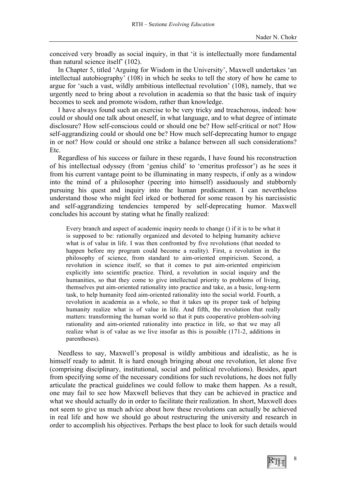conceived very broadly as social inquiry, in that 'it is intellectually more fundamental than natural science itself' (102).

In Chapter 5, titled 'Arguing for Wisdom in the University', Maxwell undertakes 'an intellectual autobiography' (108) in which he seeks to tell the story of how he came to argue for 'such a vast, wildly ambitious intellectual revolution' (108), namely, that we urgently need to bring about a revolution in academia so that the basic task of inquiry becomes to seek and promote wisdom, rather than knowledge.

I have always found such an exercise to be very tricky and treacherous, indeed: how could or should one talk about oneself, in what language, and to what degree of intimate disclosure? How self-conscious could or should one be? How self-critical or not? How self-aggrandizing could or should one be? How much self-deprecating humor to engage in or not? How could or should one strike a balance between all such considerations? Etc.

Regardless of his success or failure in these regards, I have found his reconstruction of his intellectual odyssey (from 'genius child' to 'emeritus professor') as he sees it from his current vantage point to be illuminating in many respects, if only as a window into the mind of a philosopher (peering into himself) assiduously and stubbornly pursuing his quest and inquiry into the human predicament. I can nevertheless understand those who might feel irked or bothered for some reason by his narcissistic and self-aggrandizing tendencies tempered by self-deprecating humor. Maxwell concludes his account by stating what he finally realized:

Every branch and aspect of academic inquiry needs to change () if it is to be what it is supposed to be: rationally organized and devoted to helping humanity achieve what is of value in life. I was then confronted by five revolutions (that needed to happen before my program could become a reality). First, a revolution in the philosophy of science, from standard to aim-oriented empiricism. Second, a revolution in science itself, so that it comes to put aim-oriented empiricism explicitly into scientific practice. Third, a revolution in social inquiry and the humanities, so that they come to give intellectual priority to problems of living, themselves put aim-oriented rationality into practice and take, as a basic, long-term task, to help humanity feed aim-oriented rationality into the social world. Fourth, a revolution in academia as a whole, so that it takes up its proper task of helping humanity realize what is of value in life. And fifth, the revolution that really matters: transforming the human world so that it puts cooperative problem-solving rationality and aim-oriented rationality into practice in life, so that we may all realize what is of value as we live insofar as this is possible (171-2, additions in parentheses).

Needless to say, Maxwell's proposal is wildly ambitious and idealistic, as he is himself ready to admit. It is hard enough bringing about one revolution, let alone five (comprising disciplinary, institutional, social and political revolutions). Besides, apart from specifying some of the necessary conditions for such revolutions, he does not fully articulate the practical guidelines we could follow to make them happen. As a result, one may fail to see how Maxwell believes that they can be achieved in practice and what we should actually do in order to facilitate their realization. In short, Maxwell does not seem to give us much advice about how these revolutions can actually be achieved in real life and how we should go about restructuring the university and research in order to accomplish his objectives. Perhaps the best place to look for such details would

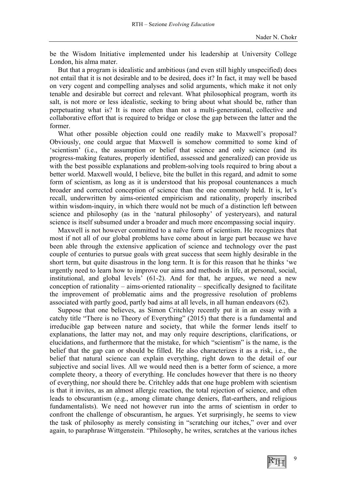be the Wisdom Initiative implemented under his leadership at University College London, his alma mater.

But that a program is idealistic and ambitious (and even still highly unspecified) does not entail that it is not desirable and to be desired, does it? In fact, it may well be based on very cogent and compelling analyses and solid arguments, which make it not only tenable and desirable but correct and relevant. What philosophical program, worth its salt, is not more or less idealistic, seeking to bring about what should be, rather than perpetuating what is? It is more often than not a multi-generational, collective and collaborative effort that is required to bridge or close the gap between the latter and the former.

What other possible objection could one readily make to Maxwell's proposal? Obviously, one could argue that Maxwell is somehow committed to some kind of 'scientism' (i.e., the assumption or belief that science and only science (and its progress-making features, properly identified, assessed and generalized) can provide us with the best possible explanations and problem-solving tools required to bring about a better world. Maxwell would, I believe, bite the bullet in this regard, and admit to some form of scientism, as long as it is understood that his proposal countenances a much broader and corrected conception of science than the one commonly held. It is, let's recall, underwritten by aims-oriented empiricism and rationality, properly inscribed within wisdom-inquiry, in which there would not be much of a distinction left between science and philosophy (as in the 'natural philosophy' of yesteryears), and natural science is itself subsumed under a broader and much more encompassing social inquiry.

Maxwell is not however committed to a naïve form of scientism. He recognizes that most if not all of our global problems have come about in large part because we have been able through the extensive application of science and technology over the past couple of centuries to pursue goals with great success that seem highly desirable in the short term, but quite disastrous in the long term. It is for this reason that he thinks 'we urgently need to learn how to improve our aims and methods in life, at personal, social, institutional, and global levels' (61-2). And for that, he argues, we need a new conception of rationality – aims-oriented rationality – specifically designed to facilitate the improvement of problematic aims and the progressive resolution of problems associated with partly good, partly bad aims at all levels, in all human endeavors (62).

Suppose that one believes, as Simon Critchley recently put it in an essay with a catchy title "There is no Theory of Everything" (2015) that there is a fundamental and irreducible gap between nature and society, that while the former lends itself to explanations, the latter may not, and may only require descriptions, clarifications, or elucidations, and furthermore that the mistake, for which "scientism" is the name, is the belief that the gap can or should be filled. He also characterizes it as a risk, i.e., the belief that natural science can explain everything, right down to the detail of our subjective and social lives. All we would need then is a better form of science, a more complete theory, a theory of everything. He concludes however that there is no theory of everything, nor should there be. Critchley adds that one huge problem with scientism is that it invites, as an almost allergic reaction, the total rejection of science, and often leads to obscurantism (e.g., among climate change deniers, flat-earthers, and religious fundamentalists). We need not however run into the arms of scientism in order to confront the challenge of obscurantism, he argues. Yet surprisingly, he seems to view the task of philosophy as merely consisting in "scratching our itches," over and over again, to paraphrase Wittgenstein. "Philosophy, he writes, scratches at the various itches

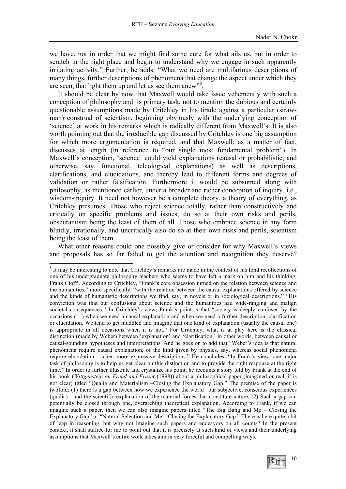we have, not in order that we might find some cure for what ails us, but in order to scratch in the right place and begin to understand why we engage in such apparently irritating activity." Further, he adds: "What we need are multifarious descriptions of many things, further descriptions of phenomena that change the aspect under which they are seen, that light them up and let us see them anew"<sup>8</sup>.

It should be clear by now that Maxwell would take issue vehemently with such a conception of philosophy and its primary task, not to mention the dubious and certainly questionable assumptions made by Critchley in his tirade against a particular (strawman) construal of scientism, beginning obviously with the underlying conception of 'science' at work in his remarks which is radically different from Maxwell's. It is also worth pointing out that the irreducible gap discussed by Critchley is one big assumption for which more argumentation is required, and that Maxwell, as a matter of fact, discusses at length (in reference to "our single most fundamental problem"). In Maxwell's conception, 'science' could yield explanations (causal or probabilistic, and otherwise, say, functional, teleological explanations) as well as descriptions, clarifications, and elucidations, and thereby lead to different forms and degrees of validation or rather falsification. Furthermore it would be subsumed along with philosophy, as mentioned earlier, under a broader and richer conception of inquiry, i.e., wisdom-inquiry. It need not however be a complete theory, a theory of everything, as Critchley presumes. Those who reject science totally, rather than constructively and critically on specific problems and issues, do so at their own risks and perils, obscurantism being the least of them of all. Those who embrace science in any form blindly, irrationally, and uncritically also do so at their own risks and perils, scientism being the least of them.

What other reasons could one possibly give or consider for why Maxwell's views and proposals has so far failed to get the attention and recognition they deserve?

<sup>&</sup>lt;sup>8</sup> It may be interesting to note that Critchley's remarks are made in the context of his fond recollections of one of his undergraduate philosophy teachers who seems to have left a mark on him and his thinking, Frank Cioffi. According to Critchley, "Frank's core obsession turned on the relation between science and the humanities," more specifically, "with the relation between the causal explanations offered by science and the kinds of humanistic descriptions we find, say, in novels or in sociological descriptions." "His conviction was that our confusions about science and the humanities had wide-ranging and malign societal consequences." In Critchley's view, Frank's point is that "society is deeply confused by the occasions (…) when we need a causal explanation and when we need a further description, clarification or elucidation. We tend to get muddled and imagine that one kind of explanation (usually the causal one) is appropriate in all occasions when it is not." For Critchley, what is at play here is the classical distinction (made by Weber) between 'explanation' and 'clarification,' in other words, between causal or causal-sounding hypotheses and interpretations. And he goes on to add that "Weber's idea is that natural phenomena require causal explanation, of the kind given by physics, say, whereas social phenomena require elucidation –richer, more expressive descriptions." He concludes: "In Frank's view, one major task of philosophy is to help us get clear on this distinction and to provide the right response at the right time." In order to further illustrate and crystalize his point, he recounts a story told by Frank at the end of his book (*Wittgenstein on Freud and Fraze*r (1998)) about a philosophical paper (imagined or real, it is not clear) titled "Qualia and Materialism –Closing the Explanatory Gap." The premise of the paper is twofold: (1) there is a gap between how we experience the world –our subjective, conscious experiences (qualia)—and the scientific explanation of the material forces that constitute nature. (2) Such a gap can potentially be closed through one, overarching theoretical explanation. According to Frank, if we can imagine such a paper, then we can also imagine papers titled "The Big Bang and Me – Closing the Explanatory Gap" or "Natural Selection and Me—Closing the Explanatory Gap." There is here quite a bit of leap in reasoning, but why not imagine such papers and endeavors on all counts? In the present context, it shall suffice for me to point out that it is precisely at such kind of views and their underlying assumptions that Maxwell's entire work takes aim in very forceful and compelling ways.

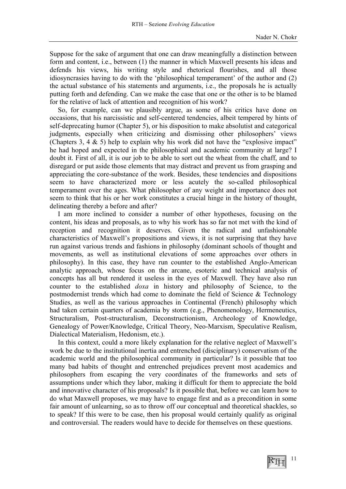Suppose for the sake of argument that one can draw meaningfully a distinction between form and content, i.e., between (1) the manner in which Maxwell presents his ideas and defends his views, his writing style and rhetorical flourishes, and all those idiosyncrasies having to do with the 'philosophical temperament' of the author and (2) the actual substance of his statements and arguments, i.e., the proposals he is actually putting forth and defending. Can we make the case that one or the other is to be blamed for the relative of lack of attention and recognition of his work?

So, for example, can we plausibly argue, as some of his critics have done on occasions, that his narcissistic and self-centered tendencies, albeit tempered by hints of self-deprecating humor (Chapter 5), or his disposition to make absolutist and categorical judgments, especially when criticizing and dismissing other philosophers' views (Chapters 3, 4 & 5) help to explain why his work did not have the "explosive impact" he had hoped and expected in the philosophical and academic community at large? I doubt it. First of all, it is our job to be able to sort out the wheat from the chaff, and to disregard or put aside those elements that may distract and prevent us from grasping and appreciating the core-substance of the work. Besides, these tendencies and dispositions seem to have characterized more or less acutely the so-called philosophical temperament over the ages. What philosopher of any weight and importance does not seem to think that his or her work constitutes a crucial hinge in the history of thought, delineating thereby a before and after?

I am more inclined to consider a number of other hypotheses, focusing on the content, his ideas and proposals, as to why his work has so far not met with the kind of reception and recognition it deserves. Given the radical and unfashionable characteristics of Maxwell's propositions and views, it is not surprising that they have run against various trends and fashions in philosophy (dominant schools of thought and movements, as well as institutional elevations of some approaches over others in philosophy). In this case, they have run counter to the established Anglo-American analytic approach, whose focus on the arcane, esoteric and technical analysis of concepts has all but rendered it useless in the eyes of Maxwell. They have also run counter to the established *doxa* in history and philosophy of Science, to the postmodernist trends which had come to dominate the field of Science & Technology Studies, as well as the various approaches in Continental (French) philosophy which had taken certain quarters of academia by storm (e.g., Phenomenology, Hermeneutics, Structuralism, Post-structuralism, Deconstructionism, Archeology of Knowledge, Genealogy of Power/Knowledge, Critical Theory, Neo-Marxism, Speculative Realism, Dialectical Materialism, Hedonism, etc.).

In this context, could a more likely explanation for the relative neglect of Maxwell's work be due to the institutional inertia and entrenched (disciplinary) conservatism of the academic world and the philosophical community in particular? Is it possible that too many bad habits of thought and entrenched prejudices prevent most academics and philosophers from escaping the very coordinates of the frameworks and sets of assumptions under which they labor, making it difficult for them to appreciate the bold and innovative character of his proposals? Is it possible that, before we can learn how to do what Maxwell proposes, we may have to engage first and as a precondition in some fair amount of unlearning, so as to throw off our conceptual and theoretical shackles, so to speak? If this were to be case, then his proposal would certainly qualify as original and controversial. The readers would have to decide for themselves on these questions.

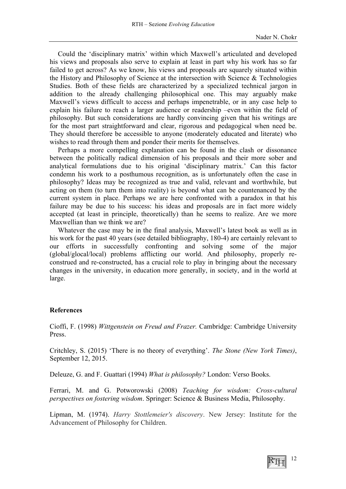Could the 'disciplinary matrix' within which Maxwell's articulated and developed his views and proposals also serve to explain at least in part why his work has so far failed to get across? As we know, his views and proposals are squarely situated within the History and Philosophy of Science at the intersection with Science & Technologies Studies. Both of these fields are characterized by a specialized technical jargon in addition to the already challenging philosophical one. This may arguably make Maxwell's views difficult to access and perhaps impenetrable, or in any case help to explain his failure to reach a larger audience or readership –even within the field of philosophy. But such considerations are hardly convincing given that his writings are for the most part straightforward and clear, rigorous and pedagogical when need be. They should therefore be accessible to anyone (moderately educated and literate) who wishes to read through them and ponder their merits for themselves.

Perhaps a more compelling explanation can be found in the clash or dissonance between the politically radical dimension of his proposals and their more sober and analytical formulations due to his original 'disciplinary matrix.' Can this factor condemn his work to a posthumous recognition, as is unfortunately often the case in philosophy? Ideas may be recognized as true and valid, relevant and worthwhile, but acting on them (to turn them into reality) is beyond what can be countenanced by the current system in place. Perhaps we are here confronted with a paradox in that his failure may be due to his success: his ideas and proposals are in fact more widely accepted (at least in principle, theoretically) than he seems to realize. Are we more Maxwellian than we think we are?

Whatever the case may be in the final analysis, Maxwell's latest book as well as in his work for the past 40 years (see detailed bibliography, 180-4) are certainly relevant to our efforts in successfully confronting and solving some of the major (global/glocal/local) problems afflicting our world. And philosophy, properly reconstrued and re-constructed, has a crucial role to play in bringing about the necessary changes in the university, in education more generally, in society, and in the world at large.

## **References**

Cioffi, F. (1998) *Wittgenstein on Freud and Frazer.* Cambridge: Cambridge University Press.

Critchley, S. (2015) 'There is no theory of everything'. *The Stone (New York Times)*, September 12, 2015.

Deleuze, G. and F. Guattari (1994) *What is philosophy?* London: Verso Books.

Ferrari, M. and G. Potworowski (2008) *Teaching for wisdom: Cross-cultural perspectives on fostering wisdom*. Springer: Science & Business Media, Philosophy.

Lipman, M. (1974). *Harry Stottlemeier's discovery*. New Jersey: Institute for the Advancement of Philosophy for Children.